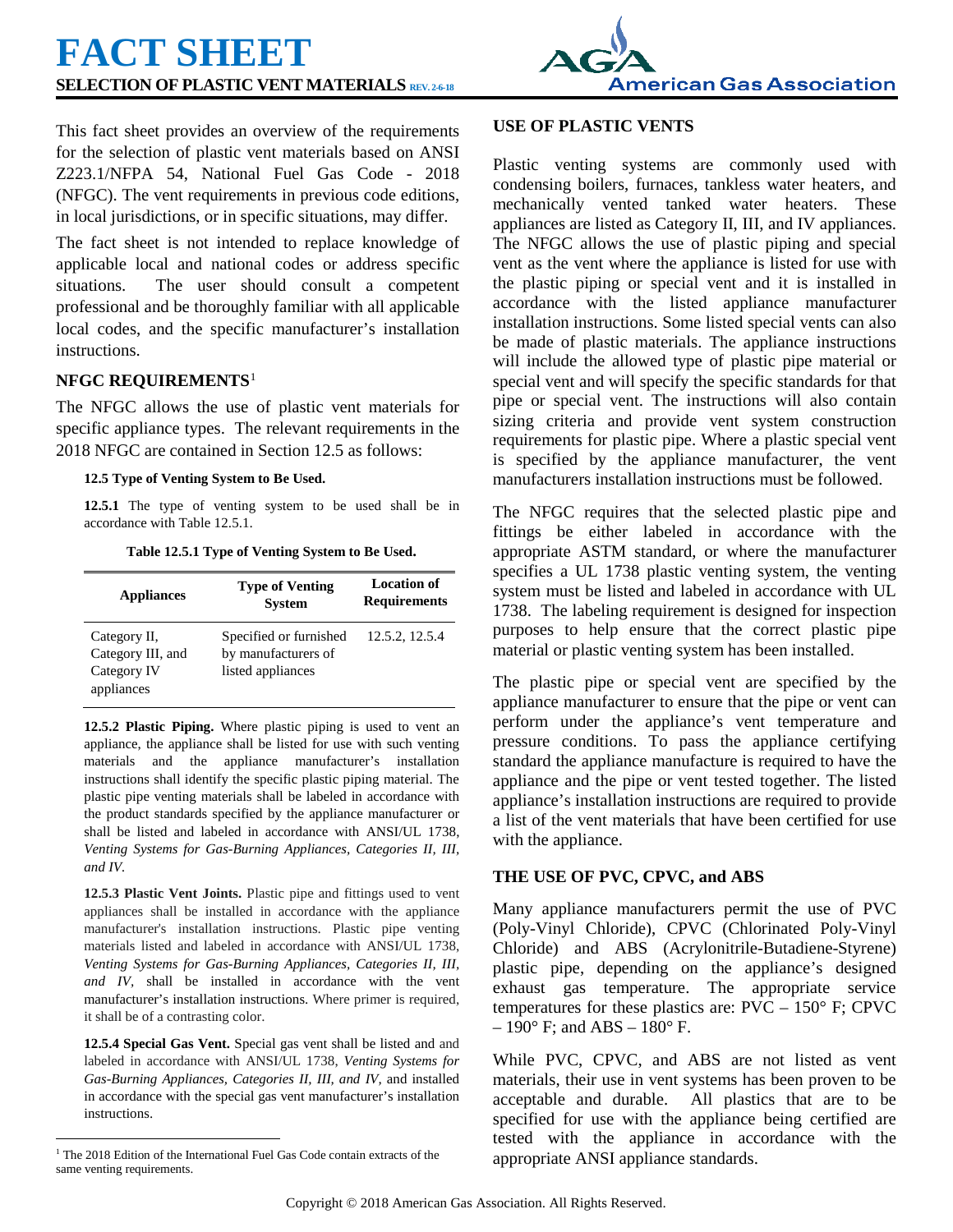# **FACT SHEET SELECTION OF PLASTIC VENT MATERIALS REV. 2-6-18**



This fact sheet provides an overview of the requirements for the selection of plastic vent materials based on ANSI Z223.1/NFPA 54, National Fuel Gas Code - 2018 (NFGC). The vent requirements in previous code editions, in local jurisdictions, or in specific situations, may differ.

The fact sheet is not intended to replace knowledge of applicable local and national codes or address specific situations. The user should consult a competent professional and be thoroughly familiar with all applicable local codes, and the specific manufacturer's installation instructions.

## **NFGC REQUIREMENTS**[1](#page-0-0)

The NFGC allows the use of plastic vent materials for specific appliance types. The relevant requirements in the 2018 NFGC are contained in Section 12.5 as follows:

#### **12.5 Type of Venting System to Be Used.**

**12.5.1** The type of venting system to be used shall be in accordance with Table 12.5.1.

**Table 12.5.1 Type of Venting System to Be Used.**

| <b>Appliances</b> | <b>Type of Venting</b><br><b>System</b> | <b>Location of</b><br><b>Requirements</b> |
|-------------------|-----------------------------------------|-------------------------------------------|
| Category II,      | Specified or furnished                  | 12.5.2, 12.5.4                            |
| Category III, and | by manufacturers of                     |                                           |
| Category IV       | listed appliances                       |                                           |
| appliances        |                                         |                                           |

**12.5.2 Plastic Piping.** Where plastic piping is used to vent an appliance, the appliance shall be listed for use with such venting materials and the appliance manufacturer's installation instructions shall identify the specific plastic piping material. The plastic pipe venting materials shall be labeled in accordance with the product standards specified by the appliance manufacturer or shall be listed and labeled in accordance with ANSI/UL 1738, *Venting Systems for Gas-Burning Appliances, Categories II, III, and IV.*

**12.5.3 Plastic Vent Joints.** Plastic pipe and fittings used to vent appliances shall be installed in accordance with the appliance manufacturer's installation instructions. Plastic pipe venting materials listed and labeled in accordance with ANSI/UL 1738, *Venting Systems for Gas-Burning Appliances, Categories II, III, and IV,* shall be installed in accordance with the vent manufacturer's installation instructions. Where primer is required, it shall be of a contrasting color.

**12.5.4 Special Gas Vent.** Special gas vent shall be listed and and labeled in accordance with ANSI/UL 1738, *Venting Systems for Gas-Burning Appliances, Categories II, III, and IV,* and installed in accordance with the special gas vent manufacturer's installation instructions.

## **USE OF PLASTIC VENTS**

Plastic venting systems are commonly used with condensing boilers, furnaces, tankless water heaters, and mechanically vented tanked water heaters. These appliances are listed as Category II, III, and IV appliances. The NFGC allows the use of plastic piping and special vent as the vent where the appliance is listed for use with the plastic piping or special vent and it is installed in accordance with the listed appliance manufacturer installation instructions. Some listed special vents can also be made of plastic materials. The appliance instructions will include the allowed type of plastic pipe material or special vent and will specify the specific standards for that pipe or special vent. The instructions will also contain sizing criteria and provide vent system construction requirements for plastic pipe. Where a plastic special vent is specified by the appliance manufacturer, the vent manufacturers installation instructions must be followed.

The NFGC requires that the selected plastic pipe and fittings be either labeled in accordance with the appropriate ASTM standard, or where the manufacturer specifies a UL 1738 plastic venting system, the venting system must be listed and labeled in accordance with UL 1738. The labeling requirement is designed for inspection purposes to help ensure that the correct plastic pipe material or plastic venting system has been installed.

The plastic pipe or special vent are specified by the appliance manufacturer to ensure that the pipe or vent can perform under the appliance's vent temperature and pressure conditions. To pass the appliance certifying standard the appliance manufacture is required to have the appliance and the pipe or vent tested together. The listed appliance's installation instructions are required to provide a list of the vent materials that have been certified for use with the appliance.

## **THE USE OF PVC, CPVC, and ABS**

Many appliance manufacturers permit the use of PVC (Poly-Vinyl Chloride), CPVC (Chlorinated Poly-Vinyl Chloride) and ABS (Acrylonitrile-Butadiene-Styrene) plastic pipe, depending on the appliance's designed exhaust gas temperature. The appropriate service temperatures for these plastics are:  $\text{PVC} - 150^{\circ}$  F; CPVC  $-190^\circ$  F; and ABS  $-180^\circ$  F.

While PVC, CPVC, and ABS are not listed as vent materials, their use in vent systems has been proven to be acceptable and durable. All plastics that are to be specified for use with the appliance being certified are tested with the appliance in accordance with the appropriate ANSI appliance standards.

<span id="page-0-0"></span><sup>&</sup>lt;sup>1</sup> The 2018 Edition of the International Fuel Gas Code contain extracts of the same venting requirements.